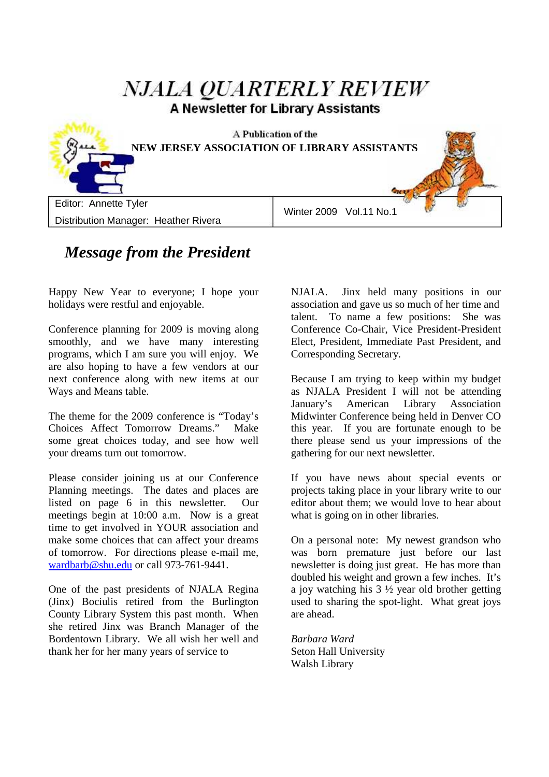# **NJALA OUARTERLY REVIEW** A Newsletter for Library Assistants A Publication of the **NEW JERSEY ASSOCIATION OF LIBRARY ASSISTANTS** Editor: Annette Tyler Winter 2009 Vol.11 No.1 Distribution Manager: Heather Rivera

### *Message from the President*

Happy New Year to everyone; I hope your holidays were restful and enjoyable.

Conference planning for 2009 is moving along smoothly, and we have many interesting programs, which I am sure you will enjoy. We are also hoping to have a few vendors at our next conference along with new items at our Ways and Means table.

The theme for the 2009 conference is "Today's Choices Affect Tomorrow Dreams." Make some great choices today, and see how well your dreams turn out tomorrow.

Please consider joining us at our Conference Planning meetings. The dates and places are listed on page 6 in this newsletter. Our meetings begin at 10:00 a.m. Now is a great time to get involved in YOUR association and make some choices that can affect your dreams of tomorrow. For directions please e-mail me, wardbarb@shu.edu or call 973-761-9441.

One of the past presidents of NJALA Regina (Jinx) Bociulis retired from the Burlington County Library System this past month. When she retired Jinx was Branch Manager of the Bordentown Library. We all wish her well and thank her for her many years of service to

NJALA. Jinx held many positions in our association and gave us so much of her time and talent. To name a few positions: She was Conference Co-Chair, Vice President-President Elect, President, Immediate Past President, and Corresponding Secretary.

Because I am trying to keep within my budget as NJALA President I will not be attending January's American Library Association Midwinter Conference being held in Denver CO this year. If you are fortunate enough to be there please send us your impressions of the gathering for our next newsletter.

If you have news about special events or projects taking place in your library write to our editor about them; we would love to hear about what is going on in other libraries.

On a personal note: My newest grandson who was born premature just before our last newsletter is doing just great. He has more than doubled his weight and grown a few inches. It's a joy watching his 3 ½ year old brother getting used to sharing the spot-light. What great joys are ahead.

*Barbara Ward*  Seton Hall University Walsh Library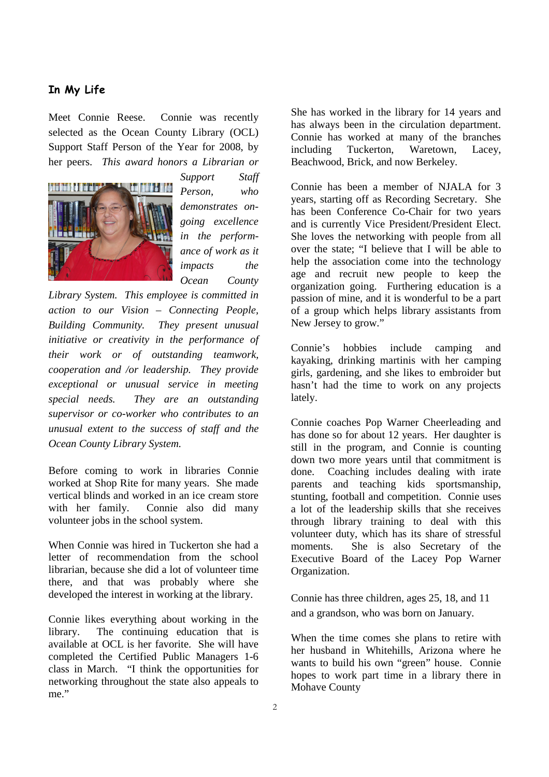#### **In My Life**

Meet Connie Reese. Connie was recently selected as the Ocean County Library (OCL) Support Staff Person of the Year for 2008, by her peers. *This award honors a Librarian or* 



*Support Staff Person, who demonstrates ongoing excellence in the performance of work as it impacts the Ocean County* 

*Library System. This employee is committed in action to our Vision – Connecting People, Building Community. They present unusual initiative or creativity in the performance of their work or of outstanding teamwork, cooperation and /or leadership. They provide exceptional or unusual service in meeting special needs. They are an outstanding supervisor or co-worker who contributes to an unusual extent to the success of staff and the Ocean County Library System.*

Before coming to work in libraries Connie worked at Shop Rite for many years. She made vertical blinds and worked in an ice cream store with her family. Connie also did many volunteer jobs in the school system.

When Connie was hired in Tuckerton she had a letter of recommendation from the school librarian, because she did a lot of volunteer time there, and that was probably where she developed the interest in working at the library.

Connie likes everything about working in the library. The continuing education that is available at OCL is her favorite. She will have completed the Certified Public Managers 1-6 class in March. "I think the opportunities for networking throughout the state also appeals to me."

She has worked in the library for 14 years and has always been in the circulation department. Connie has worked at many of the branches including Tuckerton, Waretown, Lacey, Beachwood, Brick, and now Berkeley.

Connie has been a member of NJALA for 3 years, starting off as Recording Secretary. She has been Conference Co-Chair for two years and is currently Vice President/President Elect. She loves the networking with people from all over the state; "I believe that I will be able to help the association come into the technology age and recruit new people to keep the organization going. Furthering education is a passion of mine, and it is wonderful to be a part of a group which helps library assistants from New Jersey to grow."

Connie's hobbies include camping and kayaking, drinking martinis with her camping girls, gardening, and she likes to embroider but hasn't had the time to work on any projects lately.

Connie coaches Pop Warner Cheerleading and has done so for about 12 years. Her daughter is still in the program, and Connie is counting down two more years until that commitment is done. Coaching includes dealing with irate parents and teaching kids sportsmanship, stunting, football and competition. Connie uses a lot of the leadership skills that she receives through library training to deal with this volunteer duty, which has its share of stressful moments. She is also Secretary of the Executive Board of the Lacey Pop Warner Organization.

Connie has three children, ages 25, 18, and 11 and a grandson, who was born on January.

When the time comes she plans to retire with her husband in Whitehills, Arizona where he wants to build his own "green" house. Connie hopes to work part time in a library there in Mohave County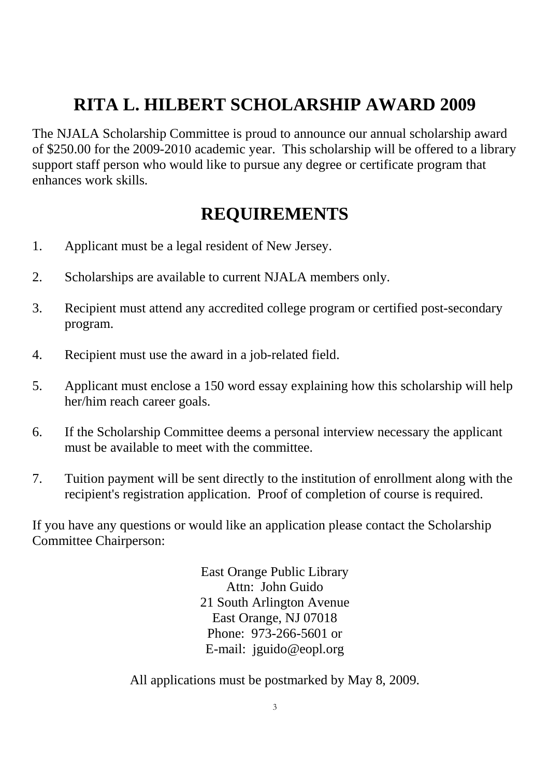# **RITA L. HILBERT SCHOLARSHIP AWARD 2009**

The NJALA Scholarship Committee is proud to announce our annual scholarship award of \$250.00 for the 2009-2010 academic year. This scholarship will be offered to a library support staff person who would like to pursue any degree or certificate program that enhances work skills.

### **REQUIREMENTS**

- 1. Applicant must be a legal resident of New Jersey.
- 2. Scholarships are available to current NJALA members only.
- 3. Recipient must attend any accredited college program or certified post-secondary program.
- 4. Recipient must use the award in a job-related field.
- 5. Applicant must enclose a 150 word essay explaining how this scholarship will help her/him reach career goals.
- 6. If the Scholarship Committee deems a personal interview necessary the applicant must be available to meet with the committee.
- 7. Tuition payment will be sent directly to the institution of enrollment along with the recipient's registration application. Proof of completion of course is required.

If you have any questions or would like an application please contact the Scholarship Committee Chairperson:

> East Orange Public Library Attn: John Guido 21 South Arlington Avenue East Orange, NJ 07018 Phone: 973-266-5601 or E-mail: jguido@eopl.org

All applications must be postmarked by May 8, 2009.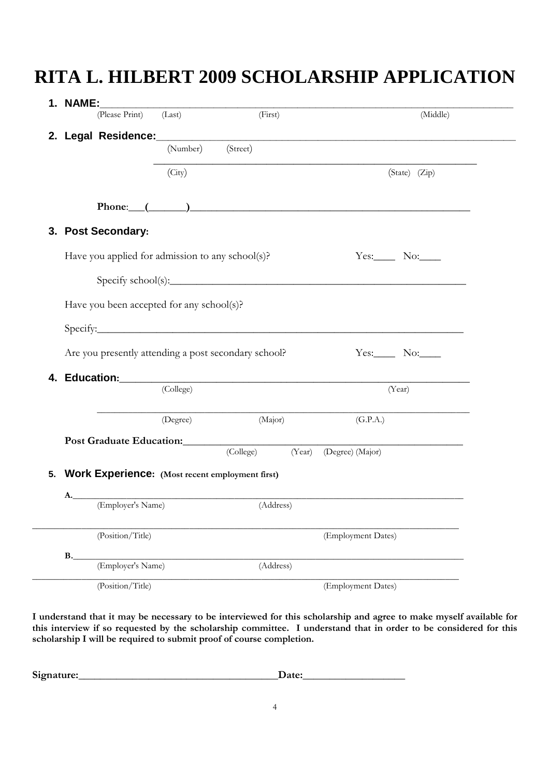# **RITA L. HILBERT 2009 SCHOLARSHIP APPLICATION**

| 1. NAME:    | (Please Print) (Last)                                                                                                                                                                                                          |           | (First)   |        |                    | (Middle)      |
|-------------|--------------------------------------------------------------------------------------------------------------------------------------------------------------------------------------------------------------------------------|-----------|-----------|--------|--------------------|---------------|
|             |                                                                                                                                                                                                                                |           |           |        |                    |               |
|             |                                                                                                                                                                                                                                | (Number)  | (Street)  |        |                    |               |
|             | (City)                                                                                                                                                                                                                         |           |           |        |                    | (State) (Zip) |
|             |                                                                                                                                                                                                                                |           |           |        |                    |               |
|             | Phone: $($ and $)$ and $($ and $)$ and $($ and $)$ and $($ and $)$ and $($ and $)$ and $($ and $)$ and $($ and $)$ and $($ and $)$ and $($ and $)$ and $($ and $)$ and $($ and $)$ and $($ and $)$ and $($ and $)$ and $($ an  |           |           |        |                    |               |
|             | 3. Post Secondary:                                                                                                                                                                                                             |           |           |        |                    |               |
|             | Have you applied for admission to any school(s)?                                                                                                                                                                               |           |           |        |                    | $Yes.$ No:    |
|             | $\text{Specify school(s):}$                                                                                                                                                                                                    |           |           |        |                    |               |
|             |                                                                                                                                                                                                                                |           |           |        |                    |               |
|             | Have you been accepted for any school(s)?                                                                                                                                                                                      |           |           |        |                    |               |
|             | Specify: Specify:                                                                                                                                                                                                              |           |           |        |                    |               |
|             | Are you presently attending a post secondary school?                                                                                                                                                                           |           |           |        |                    | $Yes:$ No:    |
| 4.          |                                                                                                                                                                                                                                |           |           |        |                    |               |
|             |                                                                                                                                                                                                                                | (College) |           |        |                    | (Year)        |
|             |                                                                                                                                                                                                                                | (Degree)  | (Major)   |        | (G.P.A.)           |               |
|             | Post Graduate Education: Manual Communication of the Communication of the Communication of the Communication of the Communication of the Communication of the Communication of the Communication of the Communication of the C |           |           |        |                    |               |
|             |                                                                                                                                                                                                                                |           | (College) | (Year) | (Degree) (Major)   |               |
| 5.          | Work Experience: (Most recent employment first)                                                                                                                                                                                |           |           |        |                    |               |
| A.          |                                                                                                                                                                                                                                |           |           |        |                    |               |
|             | (Employer's Name)                                                                                                                                                                                                              |           | (Address) |        |                    |               |
|             | (Position/Title)                                                                                                                                                                                                               |           |           |        | (Employment Dates) |               |
| $B_{\cdot}$ | (Employer's Name)                                                                                                                                                                                                              |           | (Address) |        |                    |               |
|             |                                                                                                                                                                                                                                |           |           |        |                    |               |
|             | (Position/Title)                                                                                                                                                                                                               |           |           |        | (Employment Dates) |               |

**I understand that it may be necessary to be interviewed for this scholarship and agree to make myself available for this interview if so requested by the scholarship committee. I understand that in order to be considered for this scholarship I will be required to submit proof of course completion.** 

| Signature: |  |
|------------|--|
|            |  |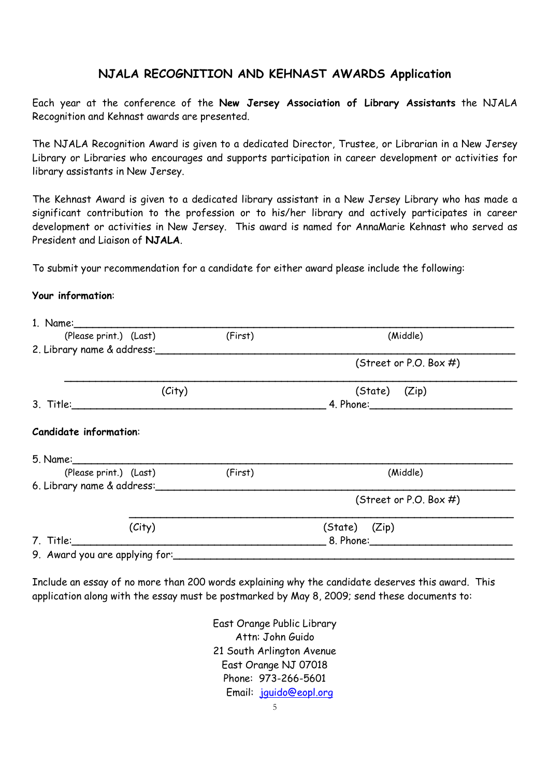### **NJALA RECOGNITION AND KEHNAST AWARDS Application**

Each year at the conference of the **New Jersey Association of Library Assistants** the NJALA Recognition and Kehnast awards are presented.

The NJALA Recognition Award is given to a dedicated Director, Trustee, or Librarian in a New Jersey Library or Libraries who encourages and supports participation in career development or activities for library assistants in New Jersey.

The Kehnast Award is given to a dedicated library assistant in a New Jersey Library who has made a significant contribution to the profession or to his/her library and actively participates in career development or activities in New Jersey. This award is named for AnnaMarie Kehnast who served as President and Liaison of **NJALA**.

To submit your recommendation for a candidate for either award please include the following:

#### **Your information**:

| (Please print.) (Last)         | (First) | (Middle)                  |  |  |  |
|--------------------------------|---------|---------------------------|--|--|--|
| 2. Library name & address:     |         |                           |  |  |  |
|                                |         | (Street or P.O. Box #)    |  |  |  |
| (City)                         |         | (State) (Zip)             |  |  |  |
|                                |         |                           |  |  |  |
| <b>Candidate information:</b>  |         |                           |  |  |  |
| (Please print.) (Last)         | (First) | (Middle)                  |  |  |  |
| 6. Library name & address:     |         |                           |  |  |  |
|                                |         | (Street or P.O. Box $#$ ) |  |  |  |
| (City)                         |         | (State) (Zip)             |  |  |  |
| 7. Title:                      |         |                           |  |  |  |
| 9. Award you are applying for: |         |                           |  |  |  |

Include an essay of no more than 200 words explaining why the candidate deserves this award. This application along with the essay must be postmarked by May 8, 2009; send these documents to:

> East Orange Public Library Attn: John Guido 21 South Arlington Avenue East Orange NJ 07018 Phone: 973-266-5601 Email: jguido@eopl.org